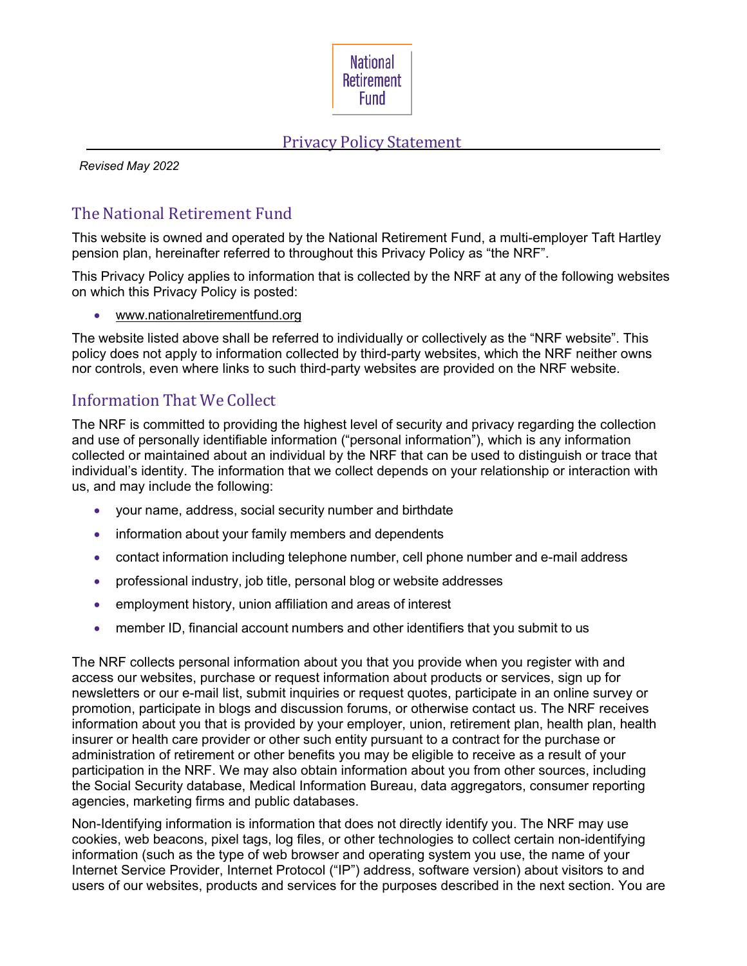

#### Privacy Policy Statement

*Revised May 2022*

# The National Retirement Fund

This website is owned and operated by the National Retirement Fund, a multi-employer Taft Hartley pension plan, hereinafter referred to throughout this Privacy Policy as "the NRF".

This Privacy Policy applies to information that is collected by the NRF at any of the following websites on which this Privacy Policy is posted:

• [www.nationalretirementfund.org](http://www.amalgamatedlife.com/)

The website listed above shall be referred to individually or collectively as the "NRF website". This policy does not apply to information collected by third-party websites, which the NRF neither owns nor controls, even where links to such third-party websites are provided on the NRF website.

### Information That We Collect

The NRF is committed to providing the highest level of security and privacy regarding the collection and use of personally identifiable information ("personal information"), which is any information collected or maintained about an individual by the NRF that can be used to distinguish or trace that individual's identity. The information that we collect depends on your relationship or interaction with us, and may include the following:

- your name, address, social security number and birthdate
- information about your family members and dependents
- contact information including telephone number, cell phone number and e-mail address
- professional industry, job title, personal blog or website addresses
- employment history, union affiliation and areas of interest
- member ID, financial account numbers and other identifiers that you submit to us

The NRF collects personal information about you that you provide when you register with and access our websites, purchase or request information about products or services, sign up for newsletters or our e-mail list, submit inquiries or request quotes, participate in an online survey or promotion, participate in blogs and discussion forums, or otherwise contact us. The NRF receives information about you that is provided by your employer, union, retirement plan, health plan, health insurer or health care provider or other such entity pursuant to a contract for the purchase or administration of retirement or other benefits you may be eligible to receive as a result of your participation in the NRF. We may also obtain information about you from other sources, including the Social Security database, Medical Information Bureau, data aggregators, consumer reporting agencies, marketing firms and public databases.

Non-Identifying information is information that does not directly identify you. The NRF may use cookies, web beacons, pixel tags, log files, or other technologies to collect certain non-identifying information (such as the type of web browser and operating system you use, the name of your Internet Service Provider, Internet Protocol ("IP") address, software version) about visitors to and users of our websites, products and services for the purposes described in the next section. You are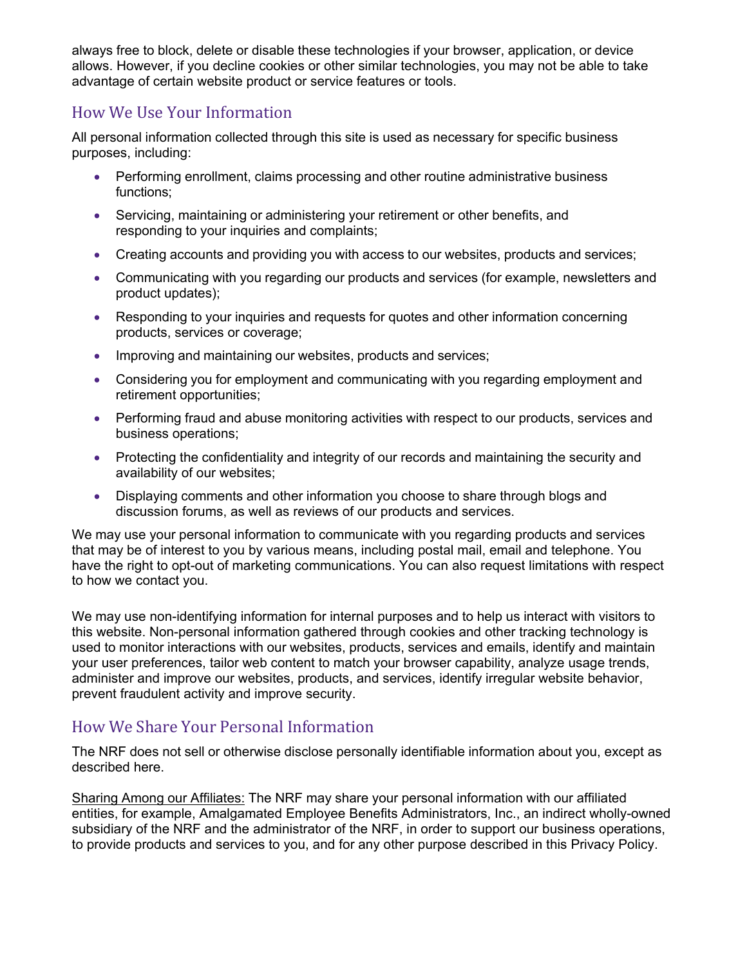always free to block, delete or disable these technologies if your browser, application, or device allows. However, if you decline cookies or other similar technologies, you may not be able to take advantage of certain website product or service features or tools.

## How We Use Your Information

All personal information collected through this site is used as necessary for specific business purposes, including:

- Performing enrollment, claims processing and other routine administrative business functions;
- Servicing, maintaining or administering your retirement or other benefits, and responding to your inquiries and complaints;
- Creating accounts and providing you with access to our websites, products and services;
- Communicating with you regarding our products and services (for example, newsletters and product updates);
- Responding to your inquiries and requests for quotes and other information concerning products, services or coverage;
- Improving and maintaining our websites, products and services;
- Considering you for employment and communicating with you regarding employment and retirement opportunities;
- Performing fraud and abuse monitoring activities with respect to our products, services and business operations;
- Protecting the confidentiality and integrity of our records and maintaining the security and availability of our websites;
- Displaying comments and other information you choose to share through blogs and discussion forums, as well as reviews of our products and services.

We may use your personal information to communicate with you regarding products and services that may be of interest to you by various means, including postal mail, email and telephone. You have the right to opt-out of marketing communications. You can also request limitations with respect to how we contact you.

We may use non-identifying information for internal purposes and to help us interact with visitors to this website. Non-personal information gathered through cookies and other tracking technology is used to monitor interactions with our websites, products, services and emails, identify and maintain your user preferences, tailor web content to match your browser capability, analyze usage trends, administer and improve our websites, products, and services, identify irregular website behavior, prevent fraudulent activity and improve security.

### How We Share Your Personal Information

The NRF does not sell or otherwise disclose personally identifiable information about you, except as described here.

Sharing Among our Affiliates: The NRF may share your personal information with our affiliated entities, for example, Amalgamated Employee Benefits Administrators, Inc., an indirect wholly-owned subsidiary of the NRF and the administrator of the NRF, in order to support our business operations, to provide products and services to you, and for any other purpose described in this Privacy Policy.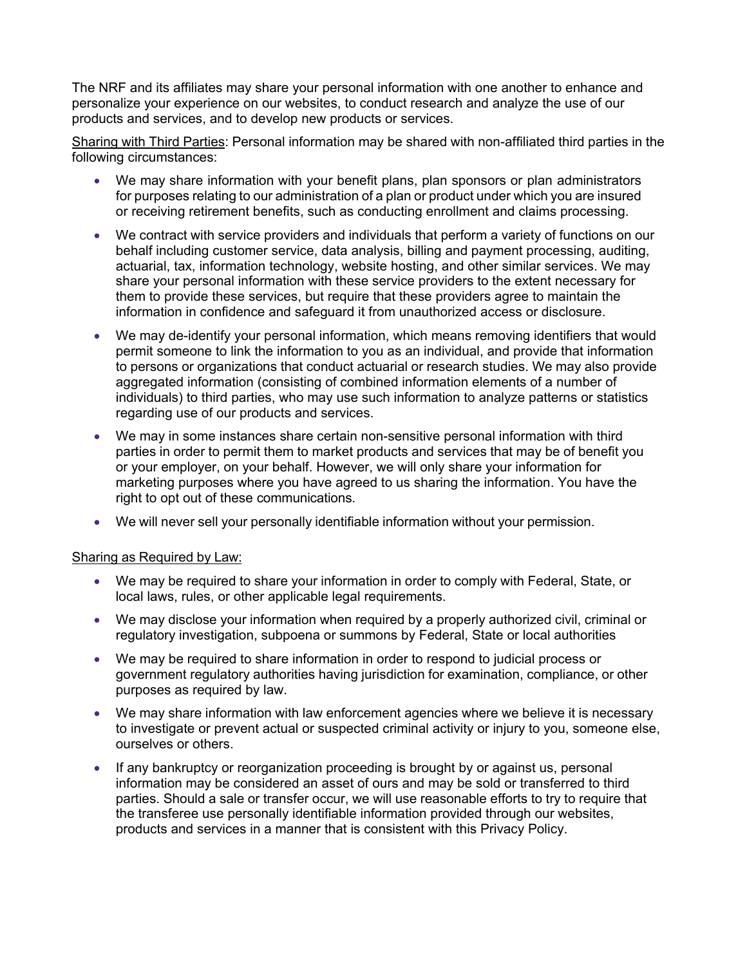The NRF and its affiliates may share your personal information with one another to enhance and personalize your experience on our websites, to conduct research and analyze the use of our products and services, and to develop new products or services.

Sharing with Third Parties: Personal information may be shared with non-affiliated third parties in the following circumstances:

- We may share information with your benefit plans, plan sponsors or plan administrators for purposes relating to our administration of a plan or product under which you are insured or receiving retirement benefits, such as conducting enrollment and claims processing.
- We contract with service providers and individuals that perform a variety of functions on our behalf including customer service, data analysis, billing and payment processing, auditing, actuarial, tax, information technology, website hosting, and other similar services. We may share your personal information with these service providers to the extent necessary for them to provide these services, but require that these providers agree to maintain the information in confidence and safeguard it from unauthorized access or disclosure.
- We may de-identify your personal information, which means removing identifiers that would permit someone to link the information to you as an individual, and provide that information to persons or organizations that conduct actuarial or research studies. We may also provide aggregated information (consisting of combined information elements of a number of individuals) to third parties, who may use such information to analyze patterns or statistics regarding use of our products and services.
- We may in some instances share certain non-sensitive personal information with third parties in order to permit them to market products and services that may be of benefit you or your employer, on your behalf. However, we will only share your information for marketing purposes where you have agreed to us sharing the information. You have the right to opt out of these communications.
- We will never sell your personally identifiable information without your permission.

#### Sharing as Required by Law:

- We may be required to share your information in order to comply with Federal, State, or local laws, rules, or other applicable legal requirements.
- We may disclose your information when required by a properly authorized civil, criminal or regulatory investigation, subpoena or summons by Federal, State or local authorities
- We may be required to share information in order to respond to judicial process or government regulatory authorities having jurisdiction for examination, compliance, or other purposes as required by law.
- We may share information with law enforcement agencies where we believe it is necessary to investigate or prevent actual or suspected criminal activity or injury to you, someone else, ourselves or others.
- If any bankruptcy or reorganization proceeding is brought by or against us, personal information may be considered an asset of ours and may be sold or transferred to third parties. Should a sale or transfer occur, we will use reasonable efforts to try to require that the transferee use personally identifiable information provided through our websites, products and services in a manner that is consistent with this Privacy Policy.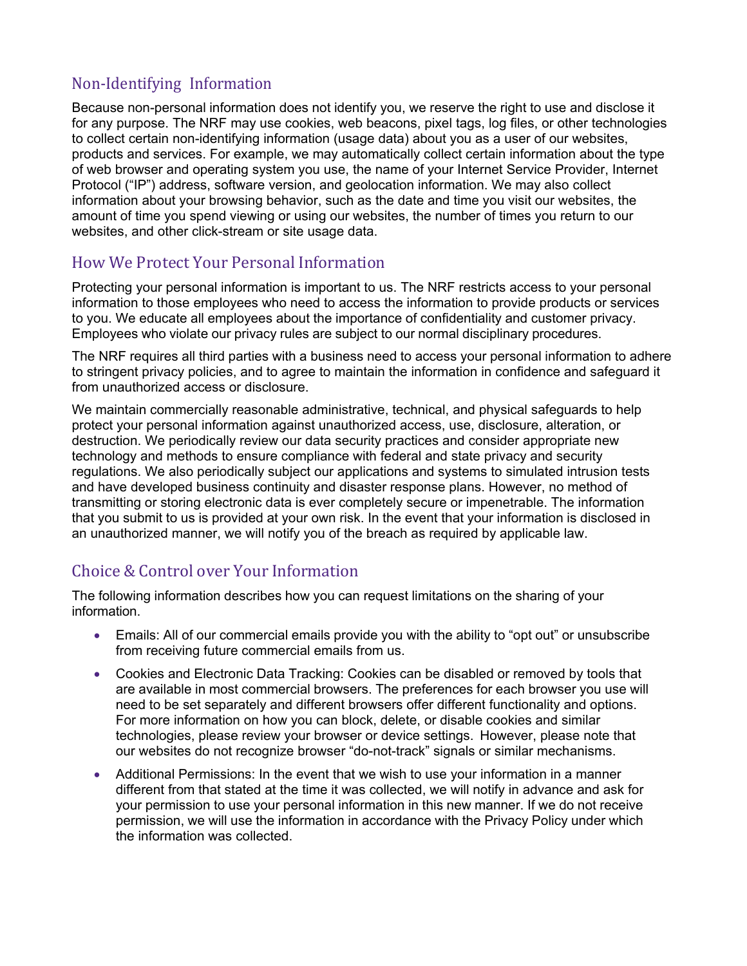# Non-Identifying Information

Because non-personal information does not identify you, we reserve the right to use and disclose it for any purpose. The NRF may use cookies, web beacons, pixel tags, log files, or other technologies to collect certain non-identifying information (usage data) about you as a user of our websites, products and services. For example, we may automatically collect certain information about the type of web browser and operating system you use, the name of your Internet Service Provider, Internet Protocol ("IP") address, software version, and geolocation information. We may also collect information about your browsing behavior, such as the date and time you visit our websites, the amount of time you spend viewing or using our websites, the number of times you return to our websites, and other click-stream or site usage data.

### How We Protect Your Personal Information

Protecting your personal information is important to us. The NRF restricts access to your personal information to those employees who need to access the information to provide products or services to you. We educate all employees about the importance of confidentiality and customer privacy. Employees who violate our privacy rules are subject to our normal disciplinary procedures.

The NRF requires all third parties with a business need to access your personal information to adhere to stringent privacy policies, and to agree to maintain the information in confidence and safeguard it from unauthorized access or disclosure.

We maintain commercially reasonable administrative, technical, and physical safeguards to help protect your personal information against unauthorized access, use, disclosure, alteration, or destruction. We periodically review our data security practices and consider appropriate new technology and methods to ensure compliance with federal and state privacy and security regulations. We also periodically subject our applications and systems to simulated intrusion tests and have developed business continuity and disaster response plans. However, no method of transmitting or storing electronic data is ever completely secure or impenetrable. The information that you submit to us is provided at your own risk. In the event that your information is disclosed in an unauthorized manner, we will notify you of the breach as required by applicable law.

## Choice & Control over Your Information

The following information describes how you can request limitations on the sharing of your information.

- Emails: All of our commercial emails provide you with the ability to "opt out" or unsubscribe from receiving future commercial emails from us.
- Cookies and Electronic Data Tracking: Cookies can be disabled or removed by tools that are available in most commercial browsers. The preferences for each browser you use will need to be set separately and different browsers offer different functionality and options. For more information on how you can block, delete, or disable cookies and similar technologies, please review your browser or device settings. However, please note that our websites do not recognize browser "do-not-track" signals or similar mechanisms.
- Additional Permissions: In the event that we wish to use your information in a manner different from that stated at the time it was collected, we will notify in advance and ask for your permission to use your personal information in this new manner. If we do not receive permission, we will use the information in accordance with the Privacy Policy under which the information was collected.